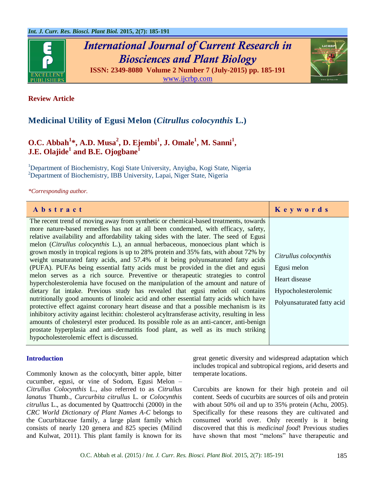

*International Journal of Current Research in Biosciences and Plant Biology*





# **Medicinal Utility of Egusi Melon (***Citrullus colocynthis* **L.)**

# **O.C.** Abbah<sup>1</sup>\*, A.D. Musa<sup>2</sup>, D. Ejembi<sup>1</sup>, J. Omale<sup>1</sup>, M. Sanni<sup>1</sup>, **J.E. Olajide<sup>1</sup> and B.E. Ojogbane<sup>1</sup>**

<sup>1</sup>Department of Biochemistry, Kogi State University, Anyigba, Kogi State, Nigeria <sup>2</sup>Department of Biochemistry, IBB University, Lapai, Niger State, Nigeria

*\*Corresponding author.*

| Abstract                                                                                                                                                                                                                                                                                                                                                                                                                                                                                                                                                                                                                                                                                                                                                                                                                                                                                                                                                                                                                                                                                                                                                                                                                                                                                                                                                                                          | Keywords                                                                                                   |
|---------------------------------------------------------------------------------------------------------------------------------------------------------------------------------------------------------------------------------------------------------------------------------------------------------------------------------------------------------------------------------------------------------------------------------------------------------------------------------------------------------------------------------------------------------------------------------------------------------------------------------------------------------------------------------------------------------------------------------------------------------------------------------------------------------------------------------------------------------------------------------------------------------------------------------------------------------------------------------------------------------------------------------------------------------------------------------------------------------------------------------------------------------------------------------------------------------------------------------------------------------------------------------------------------------------------------------------------------------------------------------------------------|------------------------------------------------------------------------------------------------------------|
| The recent trend of moving away from synthetic or chemical-based treatments, towards<br>more nature-based remedies has not at all been condemned, with efficacy, safety,<br>relative availability and affordability taking sides with the later. The seed of Egusi<br>melon (Citrullus colocynthis L.), an annual herbaceous, monoecious plant which is<br>grown mostly in tropical regions is up to 28% protein and 35% fats, with about 72% by<br>weight unsaturated fatty acids, and 57.4% of it being polyunsaturated fatty acids<br>(PUFA). PUFAs being essential fatty acids must be provided in the diet and egusi<br>melon serves as a rich source. Preventive or therapeutic strategies to control<br>hypercholesterolemia have focused on the manipulation of the amount and nature of<br>dietary fat intake. Previous study has revealed that egusi melon oil contains<br>nutritionally good amounts of linoleic acid and other essential fatty acids which have<br>protective effect against coronary heart disease and that a possible mechanism is its<br>inhibitory activity against lecithin: cholesterol acyltransferase activity, resulting in less<br>amounts of cholesteryl ester produced. Its possible role as an anti-cancer, anti-benign<br>prostate hyperplasia and anti-dermatitis food plant, as well as its much striking<br>hypocholesterolemic effect is discussed. | Citrullus colocynthis<br>Egusi melon<br>Heart disease<br>Hypocholesterolemic<br>Polyunsaturated fatty acid |

#### **Introduction**

Commonly known as the colocynth, bitter apple, bitter cucumber, egusi, or vine of Sodom, Egusi Melon – *Citrullus Colocynthis* L., also referred to as *Citrullus lanatus* Thumb., *Curcurbita citrullus* L. or *Colocynthis citrullus* L., as documented by Quattrocchi (2000) in the *CRC World Dictionary of Plant Names A-C* belongs to the Cucurbitaceae family, a large plant family which consists of nearly 120 genera and 825 species (Milind and Kulwat, 2011). This plant family is known for its

great genetic diversity and widespread adaptation which includes tropical and subtropical regions, arid deserts and temperate locations.

Curcubits are known for their high protein and oil content. Seeds of cucurbits are sources of oils and protein with about 50% oil and up to 35% protein (Achu, 2005). Specifically for these reasons they are cultivated and consumed world over. Only recently is it being discovered that this is *medicinal food*! Previous studies have shown that most "melons" have therapeutic and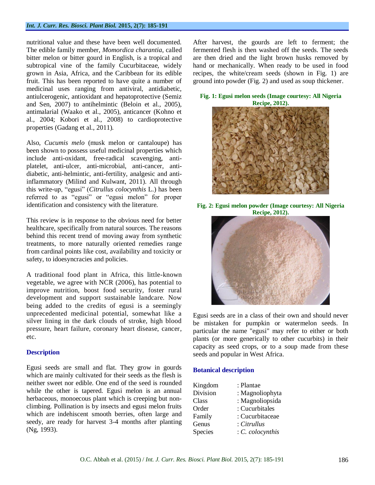#### *Int. J. Curr. Res. Biosci. Plant Biol.* **2015, 2(7): 185-191**

nutritional value and these have been well documented. The edible family member, *Momordica charantia*, called bitter melon or bitter gourd in English, is a tropical and subtropical vine of the family Cucurbitaceae, widely grown in Asia, Africa, and the Caribbean for its edible fruit. This has been reported to have quite a number of medicinal uses ranging from antiviral, antidiabetic, antiulcerogenic, antioxidant and hepatoprotective (Semiz and Sen, 2007) to antihelmintic (Beloin et al., 2005), antimalarial (Waako et al., 2005), anticancer (Kohno et al., 2004; Kobori et al., 2008) to cardioprotective properties (Gadang et al., 2011).

Also, *Cucumis melo* (musk melon or cantaloupe) has been shown to possess useful medicinal properties which include anti-oxidant, free-radical scavenging, antiplatelet, anti-ulcer, anti-microbial, anti-cancer, antidiabetic, anti-helmintic, anti-fertility, analgesic and antiinflammatory (Milind and Kulwant, 2011). All through this write-up, "egusi" (*Citrullus colocynthis* L.) has been referred to as "egusi" or "egusi melon" for proper identification and consistency with the literature.

This review is in response to the obvious need for better healthcare, specifically from natural sources. The reasons behind this recent trend of moving away from synthetic treatments, to more naturally oriented remedies range from cardinal points like cost, availability and toxicity or safety, to idoesyncracies and policies.

A traditional food plant in Africa, this little-known vegetable, we agree with NCR (2006), has potential to improve nutrition, boost food security, foster rural development and support sustainable landcare. Now being added to the credits of egusi is a seemingly unprecedented medicinal potential, somewhat like a silver lining in the dark clouds of stroke, high blood pressure, heart failure, coronary heart disease, cancer, etc.

#### **Description**

Egusi seeds are small and flat. They grow in gourds which are mainly cultivated for their seeds as the flesh is neither sweet nor edible. One end of the seed is rounded while the other is tapered. Egusi melon is an annual herbaceous, monoecous plant which is creeping but nonclimbing. Pollination is by insects and egusi melon fruits which are indehiscent smooth berries, often large and seedy, are ready for harvest 3-4 months after planting (Ng, 1993).

After harvest, the gourds are left to ferment; the fermented flesh is then washed off the seeds. The seeds are then dried and the light brown husks removed by hand or mechanically. When ready to be used in food recipes, the white/cream seeds (shown in Fig. 1) are ground into powder (Fig. 2) and used as soup thickener.

#### **Fig. 1: Egusi melon seeds (Image courtesy: All Nigeria Recipe, 2012).**



**Fig. 2: Egusi melon powder (Image courtesy: All Nigeria Recipe, 2012).**



Egusi seeds are in a class of their own and should never be mistaken for pumpkin or watermelon seeds. In particular the name "egusi" may refer to either or both plants (or more generically to other cucurbits) in their capacity as seed crops, or to a soup made from these seeds and popular in West Africa.

#### **Botanical description**

| : Plantae        |
|------------------|
| : Magnoliophyta  |
| : Magnoliopsida  |
| : Cucurbitales   |
| : Cucurbitaceae  |
| : Citrullus      |
| $C.$ colocynthis |
|                  |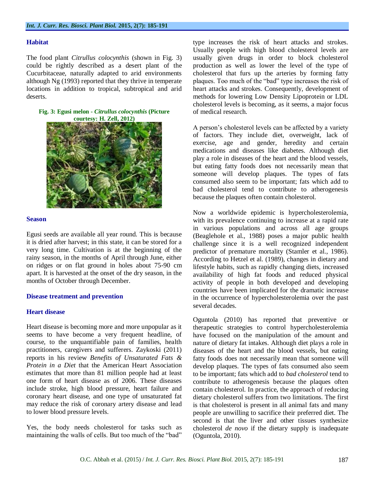#### **Habitat**

The food plant *Citrullus colocynthis* (shown in Fig. 3) could be rightly described as a desert plant of the Cucurbitaceae, naturally adapted to arid environments although Ng (1993) reported that they thrive in temperate locations in addition to tropical, subtropical and arid deserts.

#### **Fig. 3: Egusi melon -** *Citrullus colocynthis* **(Picture courtesy: H. Zell, 2012)**



#### **Season**

Egusi seeds are available all year round. This is because it is dried after harvest; in this state, it can be stored for a very long time. Cultivation is at the beginning of the rainy season, in the months of April through June, either on ridges or on flat ground in holes about 75-90 cm apart. It is harvested at the onset of the dry season, in the months of October through December.

### **Disease treatment and prevention**

# **Heart disease**

Heart disease is becoming more and more unpopular as it seems to have become a very frequent headline, of course, to the unquantifiable pain of families, health practitioners, caregivers and sufferers. Zaykoski (2011) reports in his review *Benefits of Unsaturated Fats & Protein in a Diet* that the American Heart Association estimates that more than 81 million people had at least one form of heart disease as of 2006. These diseases include stroke, high blood pressure, heart failure and coronary heart disease, and one type of unsaturated fat may reduce the risk of coronary artery disease and lead to lower blood pressure levels.

Yes, the body needs cholesterol for tasks such as maintaining the walls of cells. But too much of the "bad"

type increases the risk of heart attacks and strokes. Usually people with high blood cholesterol levels are usually given drugs in order to block cholesterol production as well as lower the level of the type of cholesterol that furs up the arteries by forming fatty plaques. Too much of the "bad" type increases the risk of heart attacks and strokes. Consequently, development of methods for lowering Low Density Lipoprotein or LDL cholesterol levels is becoming, as it seems, a major focus of medical research.

A person's cholesterol levels can be affected by a variety of factors. They include diet, overweight, lack of exercise, age and gender, heredity and certain medications and diseases like diabetes. Although diet play a role in diseases of the heart and the blood vessels, but eating fatty foods does not necessarily mean that someone will develop plaques. The types of fats consumed also seem to be important; fats which add to bad cholesterol tend to contribute to atherogenesis because the plaques often contain cholesterol.

Now a worldwide epidemic is hypercholesterolemia, with its prevalence continuing to increase at a rapid rate in various populations and across all age groups (Beaglehole et al., 1988) poses a major public health challenge since it is a well recognized independent predictor of premature mortality (Stamler et al., 1986). According to Hetzel et al. (1989), changes in dietary and lifestyle habits, such as rapidly changing diets, increased availability of high fat foods and reduced physical activity of people in both developed and developing countries have been implicated for the dramatic increase in the occurrence of hypercholesterolemia over the past several decades.

Oguntola (2010) has reported that preventive or therapeutic strategies to control hypercholesterolemia have focused on the manipulation of the amount and nature of dietary fat intakes. Although diet plays a role in diseases of the heart and the blood vessels, but eating fatty foods does not necessarily mean that someone will develop plaques. The types of fats consumed also seem to be important; fats which add to *bad cholesterol* tend to contribute to atherogenesis because the plaques often contain cholesterol. In practice, the approach of reducing dietary cholesterol suffers from two limitations. The first is that cholesterol is present in all animal fats and many people are unwilling to sacrifice their preferred diet. The second is that the liver and other tissues synthesize cholesterol *de novo* if the dietary supply is inadequate (Oguntola, 2010).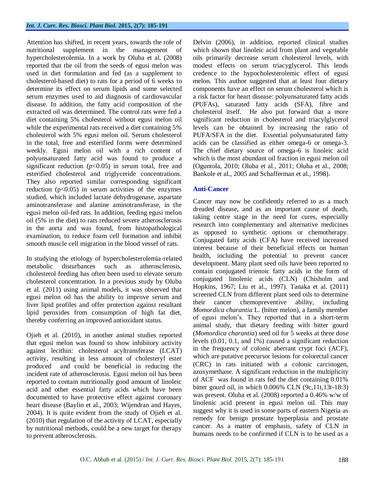Attention has shifted, in recent years, towards the role of nutritional supplement in the management of hypercholesterolemia. In a work by Oluba et al. (2008) reported that the oil from the seeds of egusi melon was used in diet formulation and fed (as a supplement to cholesterol-based diet) to rats for a period of 6 weeks to determine its effect on serum lipids and some selected serum enzymes used to aid diagnosis of cardiovascular disease. In addition, the fatty acid composition of the extracted oil was determined. The control rats were fed a diet containing 5% cholesterol without egusi melon oil while the experimental rats received a diet containing 5% cholesterol with 5% egusi melon oil. Serum cholesterol in the total, free and esterified forms were determined weekly. Egusi melon oil with a rich content of polyunsaturated fatty acid was found to produce a significant reduction  $(p<0.05)$  in serum total, free and esterified cholesterol and triglyceride concentrations. They also reported similar corresponding significant reduction  $(p<0.05)$  in serum activities of the enzymes studied, which included lactate dehydrogenase, aspartate aminotransferase and alanine aminotransferase, in the egusi melon oil-fed rats. In addition, feeding egusi melon oil (5% in the diet) to rats reduced severe atherosclerosis in the aorta and was found, from histopathological examination, to reduce foam cell formation and inhibit smooth muscle cell migration in the blood vessel of rats.

In studying the etiology of hypercholesterolemia-related metabolic disturbances such as atherosclerosis, cholesterol feeding has often been used to elevate serum cholesterol concentration. In a previous study by Oluba et al. (2011) using animal models, it was observed that egusi melon oil has the ability to improve serum and liver lipid profiles and offer protection against resultant lipid peroxides from consumption of high fat diet, thereby conferring an improved antioxidant status.

Ojieh et al. (2010), in another animal studies reported that egusi melon was found to show inhibitory activity against lecithin: cholesterol acyltransferase (LCAT) activity, resulting in less amount of cholesteryl ester produced and could be beneficial in reducing the incident rate of atherosclerosis. Egusi melon oil has been reported to contain nutritionally good amount of linoleic acid and other essential fatty acids which have been documented to have protective effect against coronary heart disease (Baylin et al., 2003; Wijendran and Hayes, 2004). It is quite evident from the study of Ojieh et al. (2010) that regulation of the activity of LCAT, especially by nutritional methods, could be a new target for therapy to prevent atherosclerosis.

Delvin (2006), in addition, reported clinical studies which shown that linoleic acid from plant and vegetable oils primarily decrease serum cholesterol levels, with modest effects on serum triacyglycerol. This lends credence to the hypocholesterolemic effect of egusi melon. This author suggested that at least four dietary components have an effect on serum cholesterol which is a risk factor for heart disease: polyunsaturated fatty acids (PUFAs), saturated fatty acids (SFA), fibre and cholesterol itself. He also put forward that a more significant reduction in cholesterol and triacylglycerol levels can be obtained by increasing the ratio of PUFA/SFA in the diet. Essential polyunsaturated fatty acids can be classified as either omega-6 or omega-3. The chief dietary source of omega-6 is linoleic acid which is the most abundant oil fraction in egusi melon oil (Oguntola, 2010; Oluba et al., 2011; Oluba et al., 2008; Bankole et al., 2005 and Schafferman et al., 1998).

# **Anti-Cancer**

Cancer may now be confidently referred to as a much dreaded disease, and as an important cause of death, taking centre stage in the need for cures, especially research into complementary and alternative medicines as opposed to synthetic options or chemotherapy. Conjugated fatty acids (CFA) have received increased interest because of their beneficial effects on human health, including the potential to prevent cancer development. Many plant seed oils have been reported to contain conjugated trienoic fatty acids in the form of conjugated linolenic acids (CLN) (Chisholm and Hopkins, 1967; Liu et al., 1997). Tanaka et al. (2011) screened CLN from different plant seed oils to determine their cancer chemopreventive ability, including *Momordica charantia* L. (bitter melon), a family member of egusi melon's. They reported that in a short-term animal study, that dietary feeding with bitter gourd (*Momordica charantia*) seed oil for 5 weeks at three dose levels (0.01, 0.1, and 1%) caused a significant reduction in the frequency of colonic aberrant crypt foci (ACF), which are putative precursor lesions for colorectal cancer (CRC) in rats initiated with a colonic carcinogen, azoxymethane. A significant reduction in the multiplicity of ACF was found in rats fed the diet containing 0.01% bitter gourd oil, in which 0.006% CLN (9c,11t,13t-18:3) was present. Oluba et al. (2008) reported a 0.46% w/w of linolenic acid present in egusi melon oil. This may suggest why it is used in some parts of eastern Nigeria as remedy for benign prostate hyperplasia and prostate cancer. As a matter of emphasis, safety of CLN in humans needs to be confirmed if CLN is to be used as a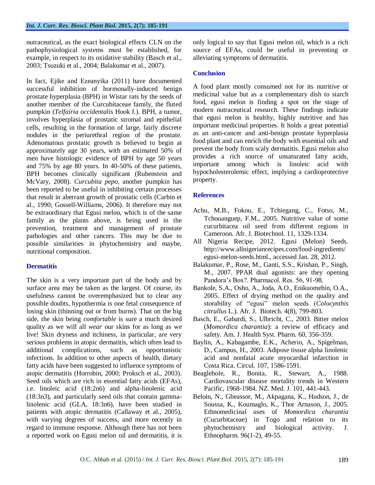nutraceutical, as the exact biological effects CLN on the pathophysiological systems must be established, for example, in respect to its oxidative stability (Basch et al., 2003; Tsuzuki et al., 2004; Balakumar et al., 2007).

In fact, Ejike and Ezeanyika (2011) have documented successful inhibition of hormonally-induced benign prostate hyperplasia (BPH) in Wistar rats by the seeds of another member of the Curcubitaceae family, the fluted pumpkin (*Telfairia occidentalis* Hook f.). BPH, a tumor, involves hyperplasia of prostatic stromal and epithelial cells, resulting in the formation of large, fairly discrete nodules in the periurethral region of the prostate. Adenomatous prostatic growth is believed to begin at approximately age 30 years, with an estimated 50% of men have histologic evidence of BPH by age 50 years and 75% by age 80 years. In 40-50% of these patients, BPH becomes clinically significant (Rubenstein and McVary, 2008). *Curcubita pepo*, another pumpkin has been reported to be useful in inhibiting certain processes that result in aberrant growth of prostatic cells (Carbin et al., 1990; Gossell-Williams, 2006). It therefore may not be extraordinary that Egusi melon, which is of the same family as the plants above, is being used in the prevention, treatment and management of prostate pathologies and other cancers. This may be due to possible similarities in phytochemistry and maybe, nutritional composition.

# **Dermatitis**

The skin is a very important part of the body and by surface area may be taken as the largest. Of course, its usefulness cannot be overemphasized but to clear any possible doubts, hypothermia is one fetal consequence of losing skin (thinning out or from burns). That on the big side, the skin being *comfortable* is sure a much desired quality as we will all *wear* our skins for as long as we live! Skin dryness and itchiness, in particular, are very serious problems in atopic dermatitis, which often lead to additional complications, such as opportunistic infections. In addition to other aspects of health, dietary fatty acids have been suggested to influence symptoms of atopic dermatitis (Horrobin, 2000; Proksch et al., 2003). Seed oils which are rich in essential fatty acids (EFAs), i.e. linoleic acid (18:2n6) and alpha-linolenic acid (18:3n3), and particularly seed oils that contain gammalinolenic acid (GLA, 18:3n6), have been studied in patients with atopic dermatitis (Callaway et al., 2005), with varying degrees of success, and more recently in regard to immune response. Although there has not been a reported work on Egusi melon oil and dermatitis, it is

only logical to say that Egusi melon oil, which is a rich source of EFAs, could be useful in preventing or alleviating symptoms of dermatitis.

### **Conclusion**

A food plant mostly consumed not for its nutritive or medicinal value but as a complementary dish to starch food, egusi melon is finding a spot on the stage of modern nutraceutical research. These findings indicate that egusi melon is healthy, highly nutritive and has important medicinal properties. It holds a great potential as an anti-cancer and anti-benign prostate hyperplasia food plant and can enrich the body with essential oils and prevent the body from scaly dermatitis. Egusi melon also provides a rich source of unsaturated fatty acids, important among which is linoleic acid with hypocholesterolemic effect, implying a cardioprotective property.

# **References**

- Achu, M.B., Fokou, E., Tchiegang, C., Fotso, M., Tchouanguep, F.M., 2005. Nutritive value of some cucurbitacea oil seed from different regions in Cameroon. Afr. J. Biotechnol. 11, 1329-1334.
- All Nigeria Recipe, 2012. Egusi (Melon) Seeds. http://www.allnigerianrecipes.com/food-ingredients/ egusi-melon-seeds.html., accessed Jan. 28, 2012.
- Balakumar, P., Rose, M., Ganti, S.S., Krishan, P., Singh, M., 2007. PPAR dual agonists: are they opening Pandora's Box?. Pharmacol. Res. 56, 91-98.
- Bankole, S.A., Osho, A., Joda, A.O., Enikuomehin, O.A., 2005. Effect of drying method on the quality and storability of "egusi" melon seeds (*Colocynthis citrullus* L.). Afr. J. Biotech. 4(8), 799-803.
- Basch, E., Gabardi, S., Ulbricht, C., 2003. Bitter melon (*Momordica charantia*): a review of efficacy and safety. Am. J. Health Syst. Pharm. 60, 356-359.
- Baylin, A., Kabagambe, E.K., Acherio, A., Spigelman, D., Campus, H., 2003. Adipose tissue alpha linolenic acid and nonfatal acute myocardial infarction in Costa Rica. Circul. 107, 1586-1591.
- Beaglehole, R., Bonita, R., Stewart, A., 1988. Cardiovascular disease mortality trends in Western Pacific, 1968-1984. NZ. Med. J. 101, 441-443.
- Beloin, N., Gbeassor, M., Akpagana, K., Hudson, J., de Soussa, K., Koumaglo, K., Thor Arnason, J., 2005. Ethnomedicinal uses of *Momordica charantia* (Cucurbitaceae) in Togo and relation to its phytochemistry and biological activity. J. Ethnopharm. 96(1-2), 49-55.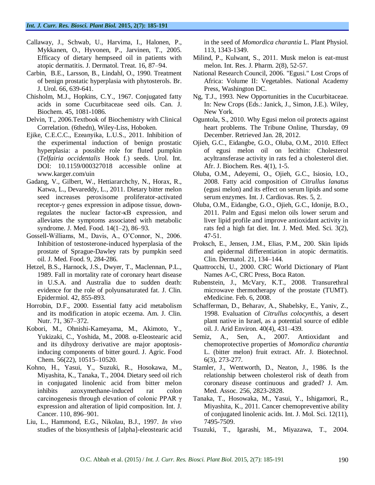- Callaway, J., Schwab, U., Harvima, I., Halonen, P., Mykkanen, O., Hyvonen, P., Jarvinen, T., 2005. Efficacy of dietary hempseed oil in patients with atopic dermatitis. J. Dermatol. Treat. 16, 87–94.
- Carbin, B.E., Larsson, B., Lindahl, O., 1990. Treatment of benign prostatic hyperplasia with phytosterols. Br. J. Urol. 66, 639-641.
- Chisholm, M.J., Hopkins, C.Y., 1967. Conjugated fatty acids in some Cucurbitaceae seed oils. Can. J. Biochem. 45, 1081-1086.
- Delvin, T., 2006.Textbook of Biochemistry with Clinical Correlation. (6thedn), Wiley-Liss, Hoboken.
- Ejike, C.E.C.C., Ezeanyika, L.U.S., 2011. Inhibition of the experimental induction of benign prostatic hyperplasia: a possible role for fluted pumpkin (*Telfairia occidentalis* Hook f.) seeds. Urol. Int. DOI: 10.1159/000327018 accessible online at www.karger.com/uin
- Gadang, V., Gilbert, W., Hettiararchchy, N., Horax, R., Katwa, L., Devareddy, L., 2011. Dietary bitter melon seed increases peroxisome proliferator-activated receptor-γ genes expression in adipose tissue, downregulates the nuclear factor-κB expression, and alleviates the symptoms associated with metabolic syndrome. J. Med. Food. 14(1–2), 86–93.
- Gossell-Williams, M., Davis, A., O'Connor, N., 2006. Inhibition of testosterone-induced hyperplasia of the prostate of Sprague-Dawley rats by pumpkin seed oil. J. Med. Food. 9, 284-286.
- Hetzel, B.S., Harnock, J.S., Dwyer, T., Maclennan, P.L., 1989. Fall in mortality rate of coronary heart disease in U.S.A. and Australia due to sudden death: evidence for the role of polyunsaturated fat. J. Clin. Epidermiol. 42, 855-893.
- Horrobin, D.F., 2000. Essential fatty acid metabolism and its modification in atopic eczema. Am. J. Clin. Nutr. 71, 367–372.
- Kobori, M., Ohnishi-Kameyama, M., Akimoto, Y., Yukizaki, C., Yoshida, M., 2008. α-Eleostearic acid and its dihydroxy derivative are major apoptosisinducing components of bitter gourd. J. Agric. Food Chem. 56(22), 10515–10520.
- Kohno, H., Yasui, Y., Suzuki, R., Hosokawa, M., Miyashita, K., Tanaka, T., 2004. Dietary seed oil rich in conjugated linolenic acid from bitter melon inhibits azoxymethane-induced rat colon carcinogenesis through elevation of colonic PPAR γ expression and alteration of lipid composition. Int. J. Cancer. 110, 896–901.
- Liu, L., Hammond, E.G., Nikolau, B.J., 1997. *In vivo* studies of the biosynthesis of [alpha]-eleostearic acid

in the seed of *Momordica charantia* L. Plant Physiol. 113, 1343-1349.

- Milind, P., Kulwant, S., 2011. Musk melon is eat-must melon. Int. Res. J. Pharm. 2(8), 52-57.
- National Research Council, 2006. "Egusi." Lost Crops of Africa: Volume II: Vegetables. National Academy Press, Washington DC.
- Ng, T.J., 1993. New Opportunities in the Cucurbitaceae. In: New Crops (Eds.: Janick, J., Simon, J.E.). Wiley, New York.
- Oguntola, S., 2010. Why Egusi melon oil protects against heart problems. The Tribune Online, Thursday, 09 December. Retrieved Jan. 28, 2012.
- Ojieh, G.C., Eidangbe, G.O., Oluba, O.M., 2010. Effect of egusi melon oil on lecithin: Cholesterol acyltransferase activity in rats fed a cholesterol diet. Afr. J. Biochem. Res. 4(1), 1-5.
- Oluba, O.M., Adeyemi, O., Ojieh, G.C., Isiosio, I.O., 2008. Fatty acid composition of *Citrullus lanatus* (egusi melon) and its effect on serum lipids and some serum enzymes. Int. J. Cardiovas. Res. 5, 2.
- Oluba, O.M., Eidangbe, G.O., Ojieh, G.C., Idonije, B.O., 2011. Palm and Egusi melon oils lower serum and liver lipid profile and improve antioxidant activity in rats fed a high fat diet. Int. J. Med. Med. Sci. 3(2), 47-51.
- Proksch, E., Jensen, J.M., Elias, P.M., 200. Skin lipids and epidermal differentiation in atopic dermatitis. Clin. Dermatol. 21, 134–144.
- Quattrocchi, U., 2000. CRC World Dictionary of Plant Names A-C, CRC Press, Boca Raton.
- Rubenstein, J., McVary, K.T., 2008. Transurethral microwave thermotherapy of the prostate (TUMT). eMedicine. Feb. 6, 2008.
- Schafferman, D., Beharav, A., Shabelsky, E., Yaniv, Z., 1998. Evaluation of *Citrullus colocynthis*, a desert plant native in Israel, as a potential source of edible oil. J. Arid Environ. 40(4), 431–439.
- Semiz, A., Sen, A., 2007. Antioxidant and chemoprotective properties of *Momordica charantia* L. (bitter melon) fruit extract. Afr. J. Biotechnol. 6(3), 273-277.
- Stamler, J., Wentworth, D., Neaton, J., 1986. Is the relationship between cholesterol risk of death from coronary disease continuous and graded? J. Am. Med. Assoc. 256, 2823-2828.
- Tanaka, T., Hosowaka, M., Yasui, Y., Ishigamori, R., Miyashita, K., 2011. Cancer chemopreventive ability of conjugated linolenic acids. Int. J. Mol. Sci. 12(11), 7495-7509.
- Tsuzuki, T., Igarashi, M., Miyazawa, T., 2004.